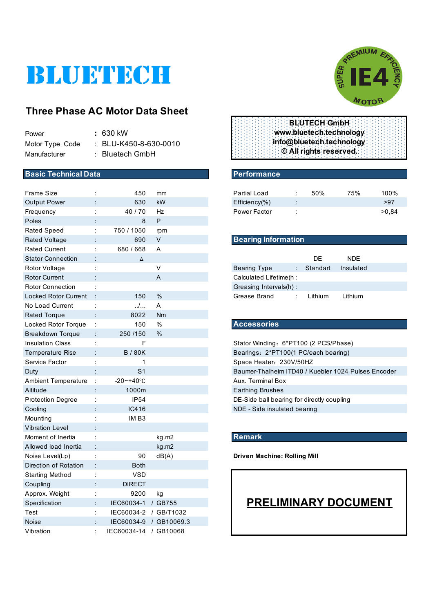# BLUETECH

## **Three Phase AC Motor Data Sheet**

| Power           | : 630 kW                         |
|-----------------|----------------------------------|
| Motor Type Code | $\therefore$ BLU-K450-8-630-0010 |
| Manufacturer    | $:$ Bluetech GmbH                |

#### **Basic Technical Data** Performance

| <b>Frame Size</b>           |                | 450                   | mm                     | <b>Partial Load</b>                                 |                      | 50%      | 75%        | 100%  |  |
|-----------------------------|----------------|-----------------------|------------------------|-----------------------------------------------------|----------------------|----------|------------|-------|--|
| <b>Output Power</b>         |                | 630                   | kW                     | Efficiency(%)                                       |                      |          |            | >97   |  |
| Frequency                   |                | 40/70                 | Hz                     | Power Factor                                        |                      |          |            | >0,84 |  |
| Poles                       |                | 8                     | P                      |                                                     |                      |          |            |       |  |
| <b>Rated Speed</b>          | ÷              | 750 / 1050            | rpm                    |                                                     |                      |          |            |       |  |
| <b>Rated Voltage</b>        |                | 690                   | $\vee$                 | <b>Bearing Information</b>                          |                      |          |            |       |  |
| <b>Rated Current</b>        |                | 680 / 668             | A                      |                                                     |                      |          |            |       |  |
| <b>Stator Connection</b>    |                | Δ                     |                        |                                                     |                      | DE       | <b>NDE</b> |       |  |
| Rotor Voltage               |                |                       | V                      | <b>Bearing Type</b>                                 |                      | Standart | Insulated  |       |  |
| <b>Rotor Current</b>        |                |                       | A                      | Calculated Lifetime(h :                             |                      |          |            |       |  |
| <b>Rotor Connection</b>     |                |                       |                        | Greasing Intervals(h):                              |                      |          |            |       |  |
| <b>Locked Rotor Current</b> |                | 150                   | %                      | Grease Brand                                        | $\ddot{\phantom{a}}$ | Lithium  | Lithium    |       |  |
| No Load Current             | t              | $\ldots$              | A                      |                                                     |                      |          |            |       |  |
| <b>Rated Torque</b>         |                | 8022                  | Nm                     |                                                     |                      |          |            |       |  |
| Locked Rotor Torque         | ÷              | 150                   | %                      | <b>Accessories</b>                                  |                      |          |            |       |  |
| <b>Breakdown Torque</b>     |                | 250 / 150             | $\%$                   |                                                     |                      |          |            |       |  |
| <b>Insulation Class</b>     | $\ddot{\cdot}$ | F                     |                        | Stator Winding: 6*PT100 (2 PCS/Phase)               |                      |          |            |       |  |
| <b>Temperature Rise</b>     |                | <b>B/80K</b>          |                        | Bearings: 2*PT100(1 PC/each bearing)                |                      |          |            |       |  |
| Service Factor              | ÷              | 1                     |                        | Space Heater: 230V/50HZ                             |                      |          |            |       |  |
| Duty                        |                | S <sub>1</sub>        |                        | Baumer-Thalheim ITD40 / Kuebler 1024 Pulses Encoder |                      |          |            |       |  |
| <b>Ambient Temperature</b>  | ÷              | $-20 - +40$ °C        |                        | Aux. Terminal Box                                   |                      |          |            |       |  |
| Altitude                    |                | 1000m                 |                        | <b>Earthing Brushes</b>                             |                      |          |            |       |  |
| <b>Protection Degree</b>    | t              | IP54                  |                        | DE-Side ball bearing for directly coupling          |                      |          |            |       |  |
| Cooling                     |                | IC416                 |                        | NDE - Side insulated bearing                        |                      |          |            |       |  |
| Mounting                    |                | IM <sub>B3</sub>      |                        |                                                     |                      |          |            |       |  |
| <b>Vibration Level</b>      |                |                       |                        |                                                     |                      |          |            |       |  |
| Moment of Inertia           |                |                       | kg.m2                  | <b>Remark</b>                                       |                      |          |            |       |  |
| Allowed load Inertia        |                |                       | kg.m2                  |                                                     |                      |          |            |       |  |
| Noise Level(Lp)             |                | 90                    | dB(A)                  | <b>Driven Machine: Rolling Mill</b>                 |                      |          |            |       |  |
| Direction of Rotation       |                | Both                  |                        |                                                     |                      |          |            |       |  |
| <b>Starting Method</b>      |                | <b>VSD</b>            |                        |                                                     |                      |          |            |       |  |
| Coupling                    |                | <b>DIRECT</b>         |                        |                                                     |                      |          |            |       |  |
| Approx. Weight              | ÷              | 9200                  | kg                     |                                                     |                      |          |            |       |  |
| Specification               | t              | IEC60034-1 / GB755    |                        | <b>PRELIMINARY DOCUMENT</b>                         |                      |          |            |       |  |
| Test                        |                | IEC60034-2 / GB/T1032 |                        |                                                     |                      |          |            |       |  |
| <b>Noise</b>                |                |                       | IEC60034-9 / GB10069.3 |                                                     |                      |          |            |       |  |
| Vibration                   |                | IEC60034-14 / GB10068 |                        |                                                     |                      |          |            |       |  |



| <b>BLUTECH GmbH:</b>     |
|--------------------------|
| www.bluetech.technology  |
| info@bluetech.technology |
| © All rights reserved.   |

| Partial Load        |                      | 50% | 75% | 100%  |
|---------------------|----------------------|-----|-----|-------|
| $Efficiency(\% )$   | $\bullet$<br>$\cdot$ |     |     | >97   |
| <b>Power Factor</b> |                      |     |     | >0.84 |

#### **Bearing Information**

|                        | DF.      | NDF.      |  |
|------------------------|----------|-----------|--|
| Bearing Type           | Standart | Insulated |  |
| Calculated Lifetime(h: |          |           |  |
| Greasing Intervals(h): |          |           |  |
| Grease Brand           | Lithium  | Lithium   |  |

#### Locked Rotor Torque : 150 % **Accessories**

#### **Remark**

# **PRELIMINARY DOCUMENT**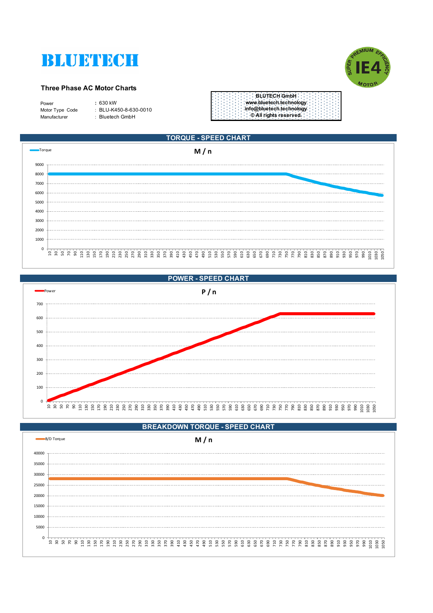



#### **Three Phase AC Motor Charts**

| Power           |  |
|-----------------|--|
| Motor Type Code |  |
| Manufacturer    |  |

Power **:** 630 kW سم جون کي ہے۔<br>Motor Tellu-K450-8-630-0010 ie : Bluetech GmbH